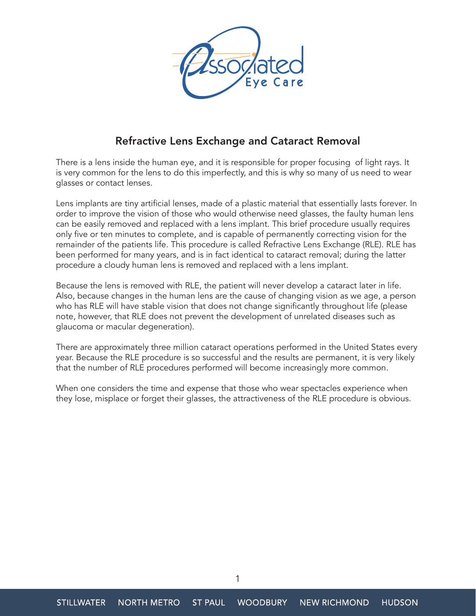

## Refractive Lens Exchange and Cataract Removal

There is a lens inside the human eye, and it is responsible for proper focusing of light rays. It is very common for the lens to do this imperfectly, and this is why so many of us need to wear glasses or contact lenses.

Lens implants are tiny artificial lenses, made of a plastic material that essentially lasts forever. In order to improve the vision of those who would otherwise need glasses, the faulty human lens can be easily removed and replaced with a lens implant. This brief procedure usually requires only five or ten minutes to complete, and is capable of permanently correcting vision for the remainder of the patients life. This procedure is called Refractive Lens Exchange (RLE). RLE has been performed for many years, and is in fact identical to cataract removal; during the latter procedure a cloudy human lens is removed and replaced with a lens implant.

Because the lens is removed with RLE, the patient will never develop a cataract later in life. Also, because changes in the human lens are the cause of changing vision as we age, a person who has RLE will have stable vision that does not change significantly throughout life (please note, however, that RLE does not prevent the development of unrelated diseases such as glaucoma or macular degeneration).

There are approximately three million cataract operations performed in the United States every year. Because the RLE procedure is so successful and the results are permanent, it is very likely that the number of RLE procedures performed will become increasingly more common.

When one considers the time and expense that those who wear spectacles experience when they lose, misplace or forget their glasses, the attractiveness of the RLE procedure is obvious.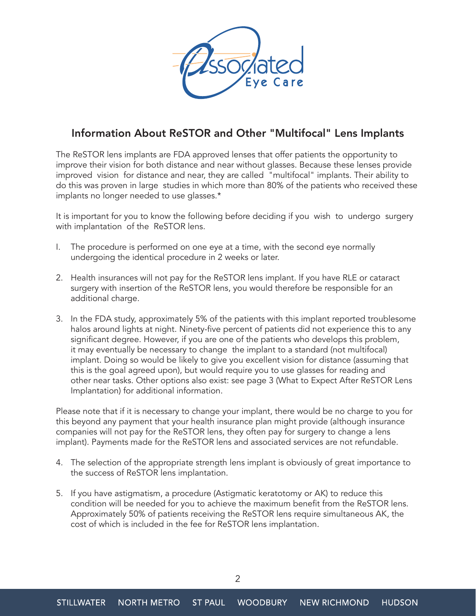

## Information About ReSTOR and Other "Multifocal" Lens Implants

The ReSTOR lens implants are FDA approved lenses that offer patients the opportunity to improve their vision for both distance and near without glasses. Because these lenses provide improved vision for distance and near, they are called "multifocal" implants. Their ability to do this was proven in large studies in which more than 80% of the patients who received these implants no longer needed to use glasses.\*

It is important for you to know the following before deciding if you wish to undergo surgery with implantation of the ReSTOR lens.

- I. The procedure is performed on one eye at a time, with the second eye normally undergoing the identical procedure in 2 weeks or later.
- 2. Health insurances will not pay for the ReSTOR lens implant. If you have RLE or cataract surgery with insertion of the ReSTOR lens, you would therefore be responsible for an additional charge.
- 3. In the FDA study, approximately 5% of the patients with this implant reported troublesome halos around lights at night. Ninety-five percent of patients did not experience this to any significant degree. However, if you are one of the patients who develops this problem, it may eventually be necessary to change the implant to a standard (not multifocal) implant. Doing so would be likely to give you excellent vision for distance (assuming that this is the goal agreed upon), but would require you to use glasses for reading and other near tasks. Other options also exist: see page 3 (What to Expect After ReSTOR Lens Implantation) for additional information.

Please note that if it is necessary to change your implant, there would be no charge to you for this beyond any payment that your health insurance plan might provide (although insurance companies will not pay for the ReSTOR lens, they often pay for surgery to change a lens implant). Payments made for the ReSTOR lens and associated services are not refundable.

- 4. The selection of the appropriate strength lens implant is obviously of great importance to the success of ReSTOR lens implantation.
- 5. If you have astigmatism, a procedure (Astigmatic keratotomy or AK) to reduce this condition will be needed for you to achieve the maximum benefit from the ReSTOR lens. Approximately 50% of patients receiving the ReSTOR lens require simultaneous AK, the cost of which is included in the fee for ReSTOR lens implantation.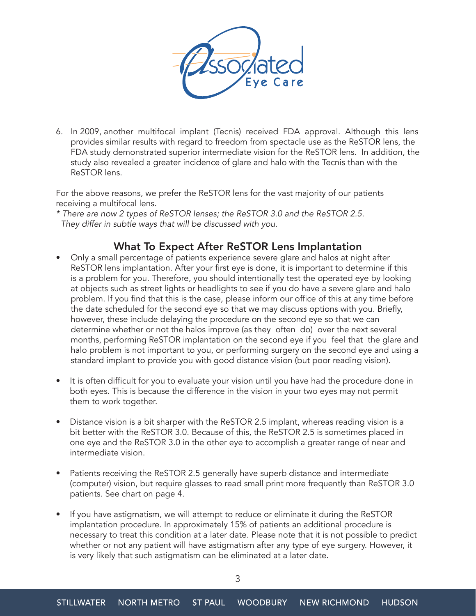

6. In 2009, another multifocal implant (Tecnis) received FDA approval. Although this lens provides similar results with regard to freedom from spectacle use as the ReSTOR lens, the FDA study demonstrated superior intermediate vision for the ReSTOR lens. In addition, the study also revealed a greater incidence of glare and halo with the Tecnis than with the ReSTOR lens.

For the above reasons, we prefer the ReSTOR lens for the vast majority of our patients receiving a multifocal lens.

*\* There are now 2 types of ReSTOR lenses; the ReSTOR 3.0 and the ReSTOR 2.5. They differ in subtle ways that will be discussed with you.*

## What To Expect After ReSTOR Lens Implantation

- Only a small percentage of patients experience severe glare and halos at night after ReSTOR lens implantation. After your first eye is done, it is important to determine if this is a problem for you. Therefore, you should intentionally test the operated eye by looking at objects such as street lights or headlights to see if you do have a severe glare and halo problem. If you find that this is the case, please inform our office of this at any time before the date scheduled for the second eye so that we may discuss options with you. Briefly, however, these include delaying the procedure on the second eye so that we can determine whether or not the halos improve (as they often do) over the next several months, performing ReSTOR implantation on the second eye if you feel that the glare and halo problem is not important to you, or performing surgery on the second eye and using a standard implant to provide you with good distance vision (but poor reading vision).
- It is often difficult for you to evaluate your vision until you have had the procedure done in both eyes. This is because the difference in the vision in your two eyes may not permit them to work together.
- Distance vision is a bit sharper with the ReSTOR 2.5 implant, whereas reading vision is a bit better with the ReSTOR 3.0. Because of this, the ReSTOR 2.5 is sometimes placed in one eye and the ReSTOR 3.0 in the other eye to accomplish a greater range of near and intermediate vision.
- Patients receiving the ReSTOR 2.5 generally have superb distance and intermediate (computer) vision, but require glasses to read small print more frequently than ReSTOR 3.0 patients. See chart on page 4.
- If you have astigmatism, we will attempt to reduce or eliminate it during the ReSTOR implantation procedure. In approximately 15% of patients an additional procedure is necessary to treat this condition at a later date. Please note that it is not possible to predict whether or not any patient will have astigmatism after any type of eye surgery. However, it is very likely that such astigmatism can be eliminated at a later date.